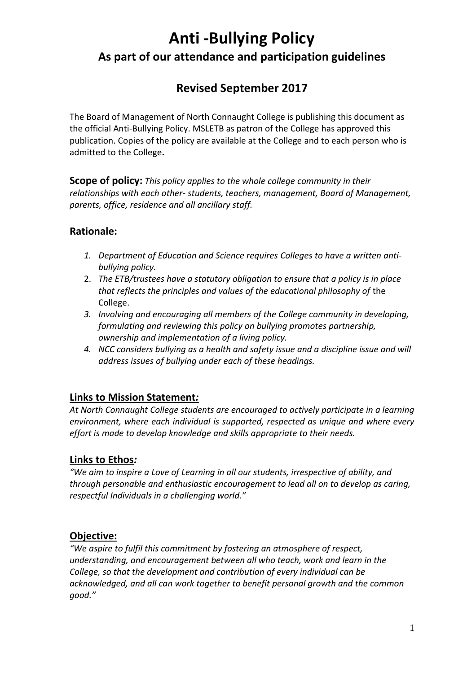# **Anti -Bullying Policy As part of our attendance and participation guidelines**

## **Revised September 2017**

The Board of Management of North Connaught College is publishing this document as the official Anti-Bullying Policy. MSLETB as patron of the College has approved this publication. Copies of the policy are available at the College and to each person who is admitted to the College**.**

**Scope of policy:** *This policy applies to the whole college community in their relationships with each other- students, teachers, management, Board of Management, parents, office, residence and all ancillary staff.* 

## **Rationale:**

- *1. Department of Education and Science requires Colleges to have a written antibullying policy.*
- 2. *The ETB/trustees have a statutory obligation to ensure that a policy is in place that reflects the principles and values of the educational philosophy of* the College.
- *3. Involving and encouraging all members of the College community in developing, formulating and reviewing this policy on bullying promotes partnership, ownership and implementation of a living policy.*
- *4. NCC considers bullying as a health and safety issue and a discipline issue and will address issues of bullying under each of these headings.*

## **Links to Mission Statement***:*

*At North Connaught College students are encouraged to actively participate in a learning environment, where each individual is supported, respected as unique and where every effort is made to develop knowledge and skills appropriate to their needs.*

## **Links to Ethos***:*

*"We aim to inspire a Love of Learning in all our students, irrespective of ability, and through personable and enthusiastic encouragement to lead all on to develop as caring, respectful Individuals in a challenging world."*

## **Objective:**

*"We aspire to fulfil this commitment by fostering an atmosphere of respect, understanding, and encouragement between all who teach, work and learn in the College, so that the development and contribution of every individual can be acknowledged, and all can work together to benefit personal growth and the common good."*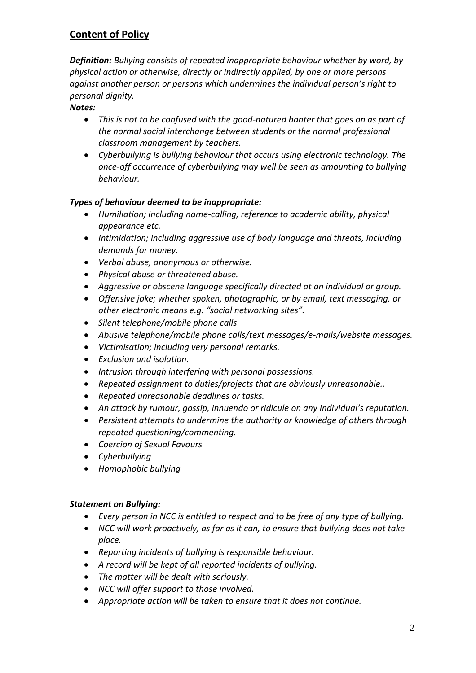## **Content of Policy**

*Definition: Bullying consists of repeated inappropriate behaviour whether by word, by physical action or otherwise, directly or indirectly applied, by one or more persons against another person or persons which undermines the individual person's right to personal dignity.* 

#### *Notes:*

- *This is not to be confused with the good-natured banter that goes on as part of the normal social interchange between students or the normal professional classroom management by teachers.*
- *Cyberbullying is bullying behaviour that occurs using electronic technology. The once-off occurrence of cyberbullying may well be seen as amounting to bullying behaviour.*

#### *Types of behaviour deemed to be inappropriate:*

- *Humiliation; including name-calling, reference to academic ability, physical appearance etc.*
- *Intimidation; including aggressive use of body language and threats, including demands for money.*
- *Verbal abuse, anonymous or otherwise.*
- *Physical abuse or threatened abuse.*
- *Aggressive or obscene language specifically directed at an individual or group.*
- *Offensive joke; whether spoken, photographic, or by email, text messaging, or other electronic means e.g. "social networking sites".*
- *Silent telephone/mobile phone calls*
- *Abusive telephone/mobile phone calls/text messages/e-mails/website messages.*
- *Victimisation; including very personal remarks.*
- *Exclusion and isolation.*
- *Intrusion through interfering with personal possessions.*
- *Repeated assignment to duties/projects that are obviously unreasonable..*
- *Repeated unreasonable deadlines or tasks.*
- *An attack by rumour, gossip, innuendo or ridicule on any individual's reputation.*
- *Persistent attempts to undermine the authority or knowledge of others through repeated questioning/commenting.*
- *Coercion of Sexual Favours*
- *Cyberbullying*
- *Homophobic bullying*

#### *Statement on Bullying:*

- *Every person in NCC is entitled to respect and to be free of any type of bullying.*
- *NCC will work proactively, as far as it can, to ensure that bullying does not take place.*
- *Reporting incidents of bullying is responsible behaviour.*
- *A record will be kept of all reported incidents of bullying.*
- *The matter will be dealt with seriously.*
- *NCC will offer support to those involved.*
- *Appropriate action will be taken to ensure that it does not continue.*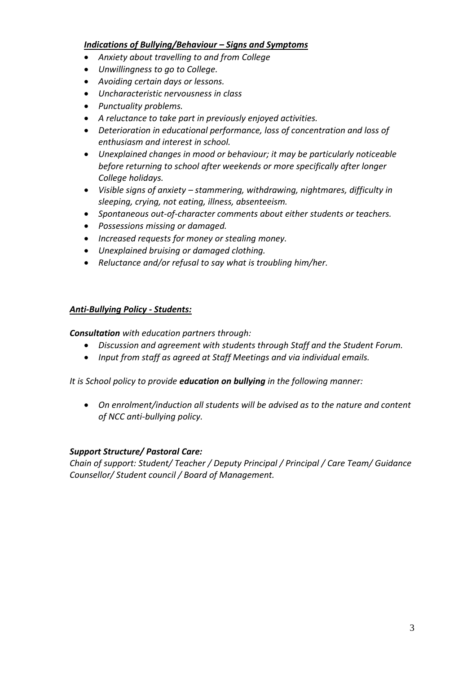#### *Indications of Bullying/Behaviour – Signs and Symptoms*

- *Anxiety about travelling to and from College*
- *Unwillingness to go to College.*
- *Avoiding certain days or lessons.*
- *Uncharacteristic nervousness in class*
- *Punctuality problems.*
- *A reluctance to take part in previously enjoyed activities.*
- *Deterioration in educational performance, loss of concentration and loss of enthusiasm and interest in school.*
- *Unexplained changes in mood or behaviour; it may be particularly noticeable before returning to school after weekends or more specifically after longer College holidays.*
- *Visible signs of anxiety – stammering, withdrawing, nightmares, difficulty in sleeping, crying, not eating, illness, absenteeism.*
- *Spontaneous out-of-character comments about either students or teachers.*
- *Possessions missing or damaged.*
- *Increased requests for money or stealing money.*
- *Unexplained bruising or damaged clothing.*
- *Reluctance and/or refusal to say what is troubling him/her.*

#### *Anti-Bullying Policy - Students:*

*Consultation with education partners through:* 

- *Discussion and agreement with students through Staff and the Student Forum.*
- *Input from staff as agreed at Staff Meetings and via individual emails.*

*It is School policy to provide education on bullying in the following manner:*

 *On enrolment/induction all students will be advised as to the nature and content of NCC anti-bullying policy.* 

#### *Support Structure/ Pastoral Care:*

*Chain of support: Student/ Teacher / Deputy Principal / Principal / Care Team/ Guidance Counsellor/ Student council / Board of Management.*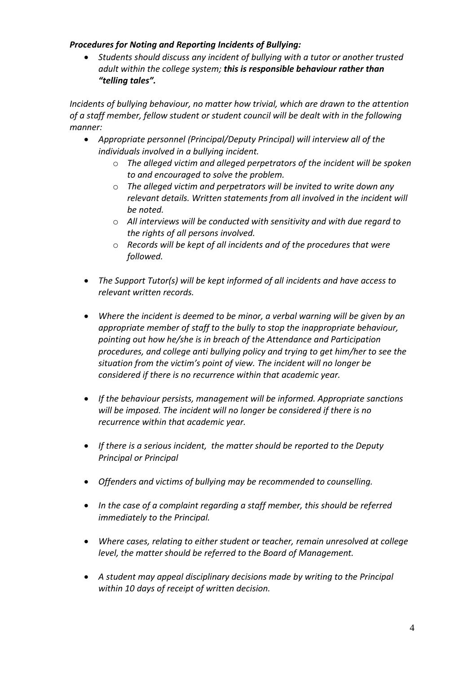#### *Procedures for Noting and Reporting Incidents of Bullying:*

 *Students should discuss any incident of bullying with a tutor or another trusted adult within the college system; this is responsible behaviour rather than "telling tales".* 

*Incidents of bullying behaviour, no matter how trivial, which are drawn to the attention of a staff member, fellow student or student council will be dealt with in the following manner:* 

- *Appropriate personnel (Principal/Deputy Principal) will interview all of the individuals involved in a bullying incident.* 
	- o *The alleged victim and alleged perpetrators of the incident will be spoken to and encouraged to solve the problem.*
	- o *The alleged victim and perpetrators will be invited to write down any relevant details. Written statements from all involved in the incident will be noted.*
	- o *All interviews will be conducted with sensitivity and with due regard to the rights of all persons involved.*
	- o *Records will be kept of all incidents and of the procedures that were followed.*
- *The Support Tutor(s) will be kept informed of all incidents and have access to relevant written records.*
- *Where the incident is deemed to be minor, a verbal warning will be given by an appropriate member of staff to the bully to stop the inappropriate behaviour, pointing out how he/she is in breach of the Attendance and Participation procedures, and college anti bullying policy and trying to get him/her to see the situation from the victim's point of view. The incident will no longer be considered if there is no recurrence within that academic year.*
- *If the behaviour persists, management will be informed. Appropriate sanctions will be imposed. The incident will no longer be considered if there is no recurrence within that academic year.*
- *If there is a serious incident, the matter should be reported to the Deputy Principal or Principal*
- *Offenders and victims of bullying may be recommended to counselling.*
- *In the case of a complaint regarding a staff member, this should be referred immediately to the Principal.*
- *Where cases, relating to either student or teacher, remain unresolved at college level, the matter should be referred to the Board of Management.*
- *A student may appeal disciplinary decisions made by writing to the Principal within 10 days of receipt of written decision.*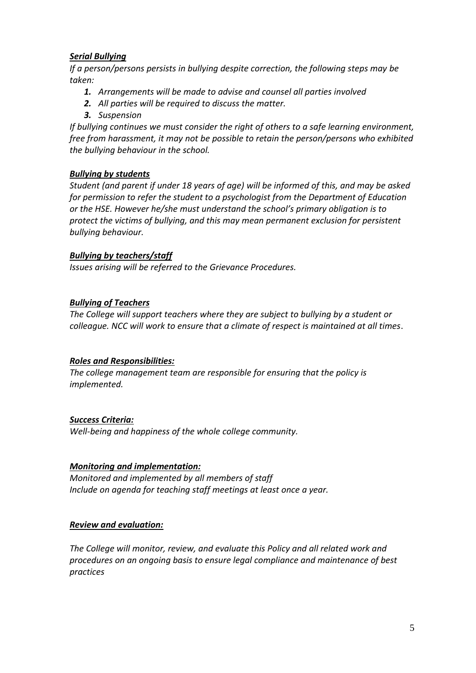#### *Serial Bullying*

*If a person/persons persists in bullying despite correction, the following steps may be taken:*

- *1. Arrangements will be made to advise and counsel all parties involved*
- *2. All parties will be required to discuss the matter.*
- *3. Suspension*

*If bullying continues we must consider the right of others to a safe learning environment, free from harassment, it may not be possible to retain the person/persons who exhibited the bullying behaviour in the school.*

#### *Bullying by students*

*Student (and parent if under 18 years of age) will be informed of this, and may be asked for permission to refer the student to a psychologist from the Department of Education or the HSE. However he/she must understand the school's primary obligation is to protect the victims of bullying, and this may mean permanent exclusion for persistent bullying behaviour.*

#### *Bullying by teachers/staff*

*Issues arising will be referred to the Grievance Procedures.*

#### *Bullying of Teachers*

*The College will support teachers where they are subject to bullying by a student or colleague. NCC will work to ensure that a climate of respect is maintained at all times*.

#### *Roles and Responsibilities:*

*The college management team are responsible for ensuring that the policy is implemented.* 

#### *Success Criteria:*

*Well-being and happiness of the whole college community.*

#### *Monitoring and implementation:*

*Monitored and implemented by all members of staff Include on agenda for teaching staff meetings at least once a year.* 

#### *Review and evaluation:*

*The College will monitor, review, and evaluate this Policy and all related work and procedures on an ongoing basis to ensure legal compliance and maintenance of best practices*